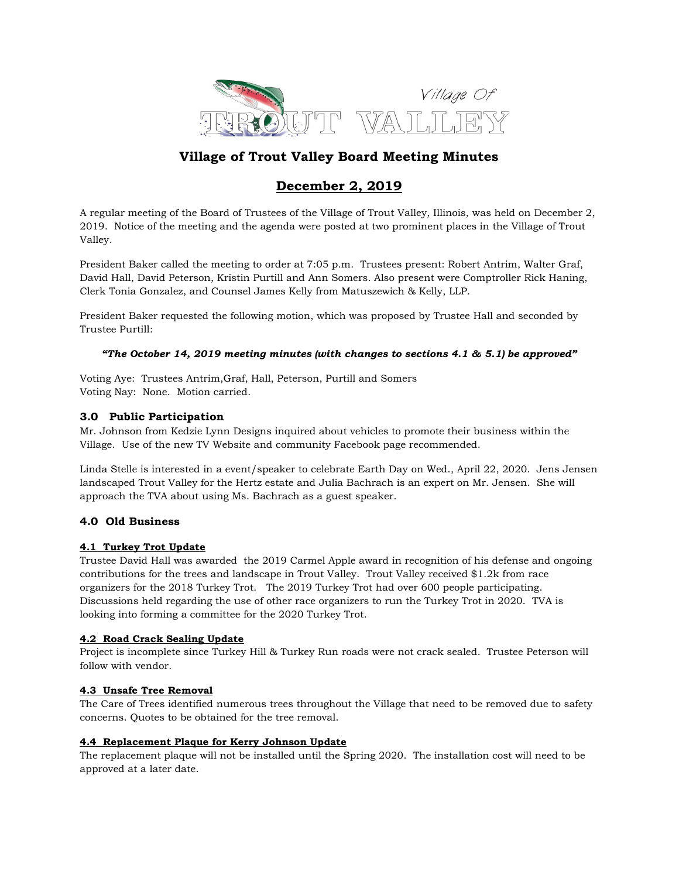

# Village of Trout Valley Board Meeting Minutes

# December 2, 2019

A regular meeting of the Board of Trustees of the Village of Trout Valley, Illinois, was held on December 2, 2019. Notice of the meeting and the agenda were posted at two prominent places in the Village of Trout Valley.

President Baker called the meeting to order at 7:05 p.m. Trustees present: Robert Antrim, Walter Graf, David Hall, David Peterson, Kristin Purtill and Ann Somers. Also present were Comptroller Rick Haning, Clerk Tonia Gonzalez, and Counsel James Kelly from Matuszewich & Kelly, LLP.

President Baker requested the following motion, which was proposed by Trustee Hall and seconded by Trustee Purtill:

# "The October 14, 2019 meeting minutes (with changes to sections 4.1 & 5.1) be approved"

Voting Aye: Trustees Antrim,Graf, Hall, Peterson, Purtill and Somers Voting Nay: None. Motion carried.

# 3.0 Public Participation

Mr. Johnson from Kedzie Lynn Designs inquired about vehicles to promote their business within the Village. Use of the new TV Website and community Facebook page recommended.

Linda Stelle is interested in a event/speaker to celebrate Earth Day on Wed., April 22, 2020. Jens Jensen landscaped Trout Valley for the Hertz estate and Julia Bachrach is an expert on Mr. Jensen. She will approach the TVA about using Ms. Bachrach as a guest speaker.

# 4.0 Old Business

# 4.1 Turkey Trot Update

Trustee David Hall was awarded the 2019 Carmel Apple award in recognition of his defense and ongoing contributions for the trees and landscape in Trout Valley. Trout Valley received \$1.2k from race organizers for the 2018 Turkey Trot. The 2019 Turkey Trot had over 600 people participating. Discussions held regarding the use of other race organizers to run the Turkey Trot in 2020. TVA is looking into forming a committee for the 2020 Turkey Trot.

# 4.2 Road Crack Sealing Update

Project is incomplete since Turkey Hill & Turkey Run roads were not crack sealed. Trustee Peterson will follow with vendor.

# 4.3 Unsafe Tree Removal

The Care of Trees identified numerous trees throughout the Village that need to be removed due to safety concerns. Quotes to be obtained for the tree removal.

# 4.4 Replacement Plaque for Kerry Johnson Update

The replacement plaque will not be installed until the Spring 2020. The installation cost will need to be approved at a later date.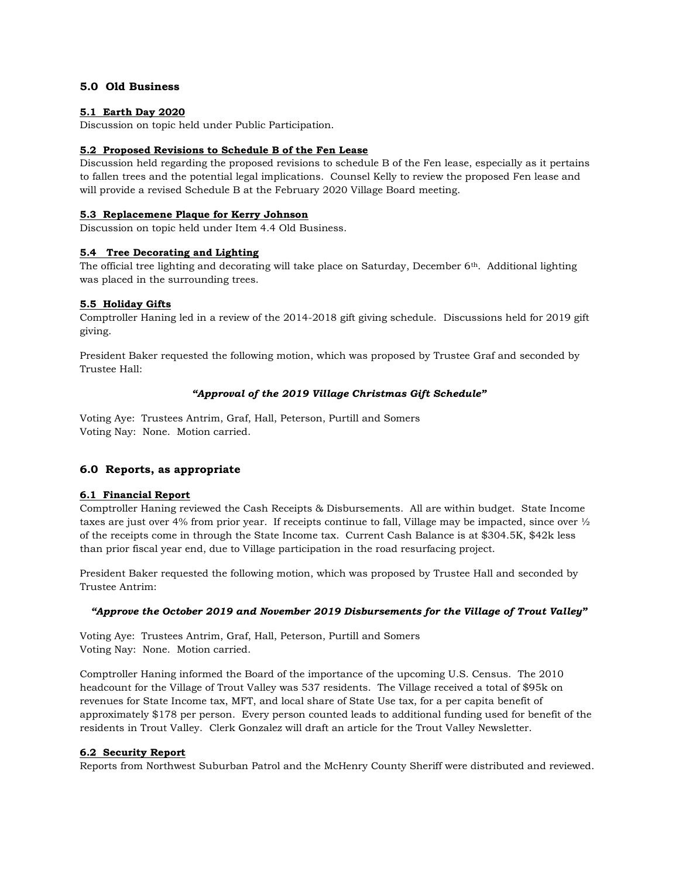### 5.0 Old Business

#### 5.1 Earth Day 2020

Discussion on topic held under Public Participation.

### 5.2 Proposed Revisions to Schedule B of the Fen Lease

Discussion held regarding the proposed revisions to schedule B of the Fen lease, especially as it pertains to fallen trees and the potential legal implications. Counsel Kelly to review the proposed Fen lease and will provide a revised Schedule B at the February 2020 Village Board meeting.

#### 5.3 Replacemene Plaque for Kerry Johnson

Discussion on topic held under Item 4.4 Old Business.

### 5.4 Tree Decorating and Lighting

The official tree lighting and decorating will take place on Saturday, December 6th. Additional lighting was placed in the surrounding trees.

### 5.5 Holiday Gifts

Comptroller Haning led in a review of the 2014-2018 gift giving schedule. Discussions held for 2019 gift giving.

President Baker requested the following motion, which was proposed by Trustee Graf and seconded by Trustee Hall:

### "Approval of the 2019 Village Christmas Gift Schedule"

Voting Aye: Trustees Antrim, Graf, Hall, Peterson, Purtill and Somers Voting Nay: None. Motion carried.

# 6.0 Reports, as appropriate

# 6.1 Financial Report

Comptroller Haning reviewed the Cash Receipts & Disbursements. All are within budget. State Income taxes are just over 4% from prior year. If receipts continue to fall, Village may be impacted, since over ½ of the receipts come in through the State Income tax. Current Cash Balance is at \$304.5K, \$42k less than prior fiscal year end, due to Village participation in the road resurfacing project.

President Baker requested the following motion, which was proposed by Trustee Hall and seconded by Trustee Antrim:

#### "Approve the October 2019 and November 2019 Disbursements for the Village of Trout Valley"

Voting Aye: Trustees Antrim, Graf, Hall, Peterson, Purtill and Somers Voting Nay: None. Motion carried.

Comptroller Haning informed the Board of the importance of the upcoming U.S. Census. The 2010 headcount for the Village of Trout Valley was 537 residents. The Village received a total of \$95k on revenues for State Income tax, MFT, and local share of State Use tax, for a per capita benefit of approximately \$178 per person. Every person counted leads to additional funding used for benefit of the residents in Trout Valley. Clerk Gonzalez will draft an article for the Trout Valley Newsletter.

#### 6.2 Security Report

Reports from Northwest Suburban Patrol and the McHenry County Sheriff were distributed and reviewed.